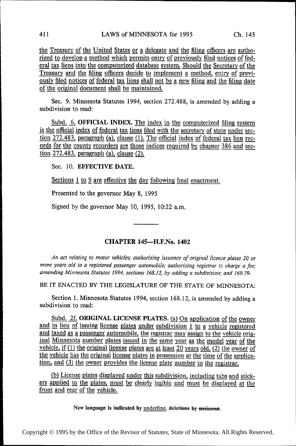the Treasury of the United States or a delegate and the filing officers are autho-<br>rized to develop a method which permits entry of previously filed notices of fedrized to develop a method which permits entry of previously filed notices are antio-<br>rized to develop a method which permits entry of previously filed notices of fed-<br>eral tax liens into the computerized database system. S Treasury and the filing officers decide to implement a method, entry of previ-<br>masking and the filing officers decide to implement a method, entry of previ-<br>ously filed notices of federal tax liens shall not be a new filin of the original document shall be maintained.

Sec. 9. Minnesota Statutes 1994, section 272.488, is amended by adding a subdivision to read:

Subd. 6. OFFICIAL INDEX. The index in the computerized filing system is the official index of federal tax liens filed with the secretary of state under section 272.483, paragraph (a), clause  $(1)$ . The official index of federal tax lien records for the county recorders are those indices required by chapter 386 and section  $272.483$ , paragraph (a), clause (2).

Sec. 10. EFFECTIVE DATE.

Sections 1 to 9 are effective the day following final enactment.

Presented to the governor May 8, 1995

Signed by the governor May 10, 1995, 10:22 am.

## CHAPTER l45—H.F.N0. <sup>1402</sup>

An act relating to motor vehicles; authorizing issuance of original license plates 20 or more years old to a registered passenger automobile; authorizing registrar to charge a fee; amending Minnesota Statutes 1994, sections 168.12, by adding a subdivision; and 169.79.

BE IT ENACTED BY THE LEGISLATURE OF THE STATE OF MINNESOTA:

Section 1. Minnesota Statutes 1994, section 168.12, is amended by adding a subdivision to read:

Subd. 2f. ORIGINAL LICENSE PLATES. (a) On application of the owner and in lieu of issuing license plates under subdivision 1 to a vehicle registered and taxed as a passenger automobile, the registrar may assign to the vehicle original Minnesota number plates issued in the same year as the model year of the vehicle, if  $(1)$  the original license plates are at least 20 years old,  $(2)$  the owner of the vehicle has the original license plates in possession at the time of the application, and  $(3)$  the owner provides the license plate number to the registrar.

(b) License plates displayed under this subdivision, including tabs and stickers applied to the plates, must be clearly legible and must be displayed at the front and rear of the vehicle.

New language is indicated by underline, deletions by strikeout.